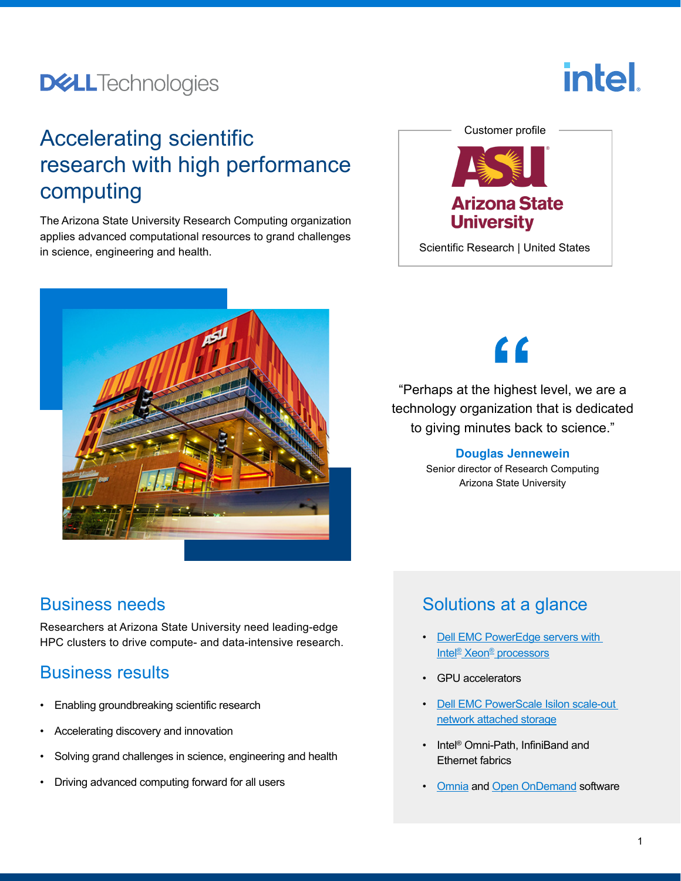## **DELL**Technologies

# Accelerating scientific research with high performance computing

The Arizona State University Research Computing organization applies advanced computational resources to grand challenges in science, engineering and health.



# [Customer profile](https://www.asu.edu/) **Arizona State University** Scientific Research | United States

**intel** 

 $\epsilon$ 

"Perhaps at the highest level, we are a technology organization that is dedicated to giving minutes back to science."

#### **Douglas Jennewein**

Senior director of Research Computing Arizona State University

#### Business needs

Researchers at Arizona State University need leading-edge HPC clusters to drive compute- and data-intensive research.

## Business results

- Enabling groundbreaking scientific research
- Accelerating discovery and innovation
- Solving grand challenges in science, engineering and health
- Driving advanced computing forward for all users

## Solutions at a glance

- [Dell EMC PowerEdge servers with](https://www.delltechnologies.com/en-us/servers/index.htm)  [Intel® Xeon® processors](https://www.delltechnologies.com/en-us/servers/index.htm)
- GPU accelerators
- [Dell EMC PowerScale Isilon scale-out](https://www.dellemc.com/content/emc/en-ph/storage/isilon/)  [network attached storage](https://www.dellemc.com/content/emc/en-ph/storage/isilon/)
- Intel<sup>®</sup> Omni-Path, InfiniBand and Ethernet fabrics
- [Omnia](https://github.com/dellhpc/omnia/) and [Open OnDemand](https://openondemand.org/) software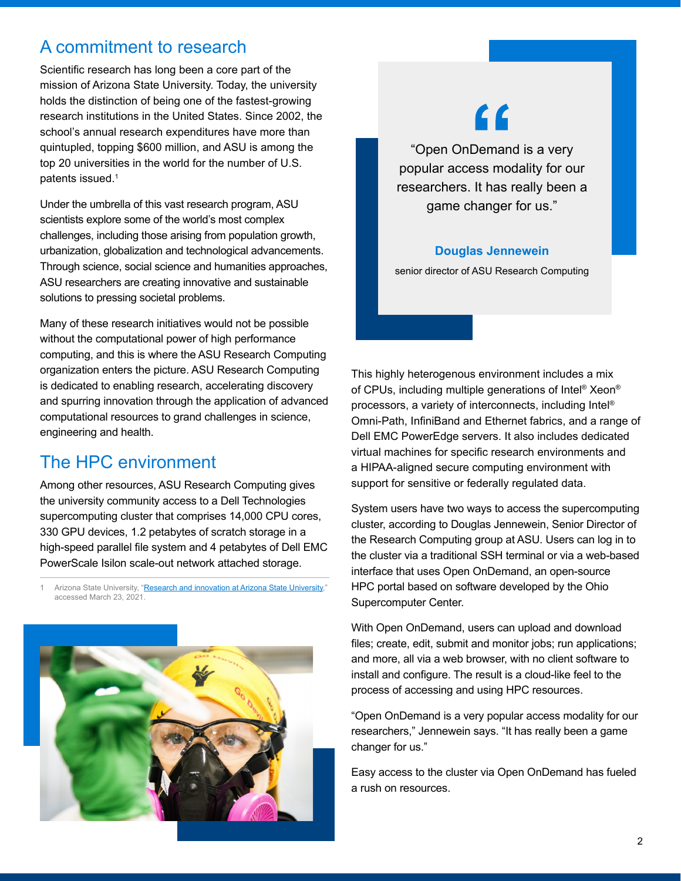#### A commitment to research

Scientific research has long been a core part of the mission of Arizona State University. Today, the university holds the distinction of being one of the fastest-growing research institutions in the United States. Since 2002, the school's annual research expenditures have more than quintupled, topping \$600 million, and ASU is among the top 20 universities in the world for the number of U.S. patents issued.<sup>1</sup>

Under the umbrella of this vast research program, ASU scientists explore some of the world's most complex challenges, including those arising from population growth, urbanization, globalization and technological advancements. Through science, social science and humanities approaches, ASU researchers are creating innovative and sustainable solutions to pressing societal problems.

Many of these research initiatives would not be possible without the computational power of high performance computing, and this is where the ASU Research Computing organization enters the picture. ASU Research Computing is dedicated to enabling research, accelerating discovery and spurring innovation through the application of advanced computational resources to grand challenges in science, engineering and health.

## The HPC environment

Among other resources, ASU Research Computing gives the university community access to a Dell Technologies supercomputing cluster that comprises 14,000 CPU cores, 330 GPU devices, 1.2 petabytes of scratch storage in a high-speed parallel file system and 4 petabytes of Dell EMC PowerScale Isilon scale-out network attached storage.

1 Arizona State University, ["Research and innovation at Arizona State University](https://research.asu.edu/about-us)," accessed March 23, 2021.



# $\epsilon$

"Open OnDemand is a very popular access modality for our researchers. It has really been a game changer for us."

#### **Douglas Jennewein**

senior director of ASU Research Computing

This highly heterogenous environment includes a mix of CPUs, including multiple generations of Intel® Xeon® processors, a variety of interconnects, including Intel® Omni-Path, InfiniBand and Ethernet fabrics, and a range of Dell EMC PowerEdge servers. It also includes dedicated virtual machines for specific research environments and a HIPAA-aligned secure computing environment with support for sensitive or federally regulated data.

System users have two ways to access the supercomputing cluster, according to Douglas Jennewein, Senior Director of the Research Computing group at ASU. Users can log in to the cluster via a traditional SSH terminal or via a web-based interface that uses Open OnDemand, an open-source HPC portal based on software developed by the Ohio Supercomputer Center.

With Open OnDemand, users can upload and download files; create, edit, submit and monitor jobs; run applications; and more, all via a web browser, with no client software to install and configure. The result is a cloud-like feel to the process of accessing and using HPC resources.

"Open OnDemand is a very popular access modality for our researchers," Jennewein says. "It has really been a game changer for us."

Easy access to the cluster via Open OnDemand has fueled a rush on resources.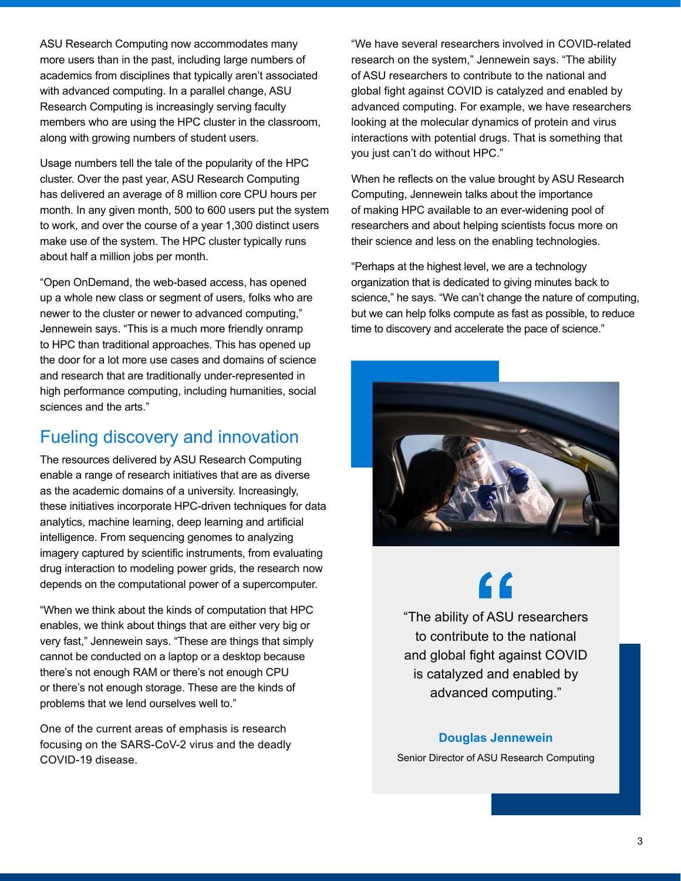ASU Research Computing now accommodates many more users than in the past, including large numbers of academics from disciplines that typically aren't associated with advanced computing. In a parallel change, ASU Research Computing is increasingly serving faculty members who are using the HPC cluster in the classroom, along with growing numbers of student users.

Usage numbers tell the tale of the popularity of the HPC cluster. Over the past year, ASU Research Computing has delivered an average of 8 million core CPU hours per month. In any given month, 500 to 600 users put the system to work, and over the course of a year 1,300 distinct users make use of the system. The HPC cluster typically runs about half a million jobs per month.

"Open OnDemand, the web-based access, has opened up a whole new class or segment of users, folks who are newer to the cluster or newer to advanced computing," Jennewein says. "This is a much more friendly onramp to HPC than traditional approaches. This has opened up the door for a lot more use cases and domains of science and research that are traditionally under-represented in high performance computing, including humanities, social sciences and the arts."

#### Fueling discovery and innovation

The resources delivered by ASU Research Computing enable a range of research initiatives that are as diverse as the academic domains of a university. Increasingly, these initiatives incorporate HPC-driven techniques for data analytics, machine learning, deep learning and artificial intelligence. From sequencing genomes to analyzing imagery captured by scientific instruments, from evaluating drug interaction to modeling power grids, the research now depends on the computational power of a supercomputer.

"When we think about the kinds of computation that HPC enables, we think about things that are either very big or very fast," Jennewein says. "These are things that simply cannot be conducted on a laptop or a desktop because there's not enough RAM or there's not enough CPU or there's not enough storage. These are the kinds of problems that we lend ourselves well to."

One of the current areas of emphasis is research focusing on the SARS-CoV-2 virus and the deadly COVID-19 disease.

"We have several researchers involved in COVID-related research on the system," Jennewein says. "The ability of ASU researchers to contribute to the national and global fight against COVID is catalyzed and enabled by advanced computing. For example, we have researchers looking at the molecular dynamics of protein and virus interactions with potential drugs. That is something that you just can't do without HPC."

When he reflects on the value brought by ASU Research Computing, Jennewein talks about the importance of making HPC available to an ever-widening pool of researchers and about helping scientists focus more on their science and less on the enabling technologies.

"Perhaps at the highest level, we are a technology organization that is dedicated to giving minutes back to science," he says. "We can't change the nature of computing, but we can help folks compute as fast as possible, to reduce time to discovery and accelerate the pace of science."



"The ability of ASU researchers to contribute to the national and global fight against COVID is catalyzed and enabled by advanced computing."

#### **Douglas Jennewein**

Senior Director of ASU Research Computing